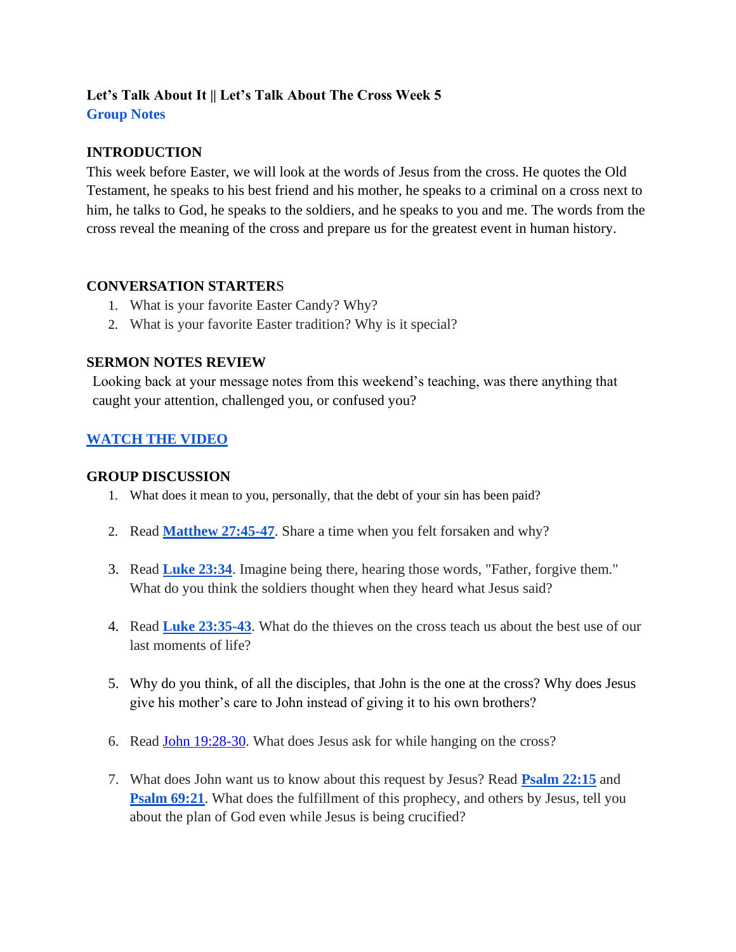# **Let's Talk About It || Let's Talk About The Cross Week 5 Group Notes**

## **INTRODUCTION**

This week before Easter, we will look at the words of Jesus from the cross. He quotes the Old Testament, he speaks to his best friend and his mother, he speaks to a criminal on a cross next to him, he talks to God, he speaks to the soldiers, and he speaks to you and me. The words from the cross reveal the meaning of the cross and prepare us for the greatest event in human history.

### **CONVERSATION STARTER**S

- 1. What is your favorite Easter Candy? Why?
- 2. What is your favorite Easter tradition? Why is it special?

### **SERMON NOTES REVIEW**

Looking back at your message notes from this weekend's teaching, was there anything that caught your attention, challenged you, or confused you?

## **[WATCH THE VIDEO](https://youtu.be/72VlfHZsmCI)**

### **GROUP DISCUSSION**

- 1. What does it mean to you, personally, that the debt of your sin has been paid?
- 2. Read **[Matthew 27:45-47](https://www.biblegateway.com/passage/?search=matt+27%3A45-46&version=NIV)**. Share a time when you felt forsaken and why?
- 3. Rea[d](https://www.biblegateway.com/passage/?search=John+13%3A1-5&version=NIV) **[Luke 23:34](https://www.biblegateway.com/passage/?search=Luke+23%3A34&version=NIV)**. Imagine being there, hearing those words, "Father, forgive them." What do you think the soldiers thought when they heard what Jesus said?
- 4. Read **[Luke 23:35-43](https://www.biblegateway.com/passage/?search=luke+23%3A35-43&version=NIV)**. What do the thieves on the cross teach us about the best use of our last moments of life?
- 5. Why do you think, of all the disciples, that John is the one at the cross? Why does Jesus give his mother's care to John instead of giving it to his own brothers?
- 6. Read [John 19:28-30.](https://www.biblegateway.com/passage/?search=John+19%3A28-30&version=NIV) What does Jesus ask for while hanging on the cross?
- 7. What does John want us to know about this request by Jesus? Read **[Psalm 22:15](https://www.biblegateway.com/passage/?search=psalm+22%3A15&version=NIV)** and **[Psalm 69:21](https://www.biblegateway.com/passage/?search=psalm+69%3A21&version=NIV)**. What does the fulfillment of this prophecy, and others by Jesus, tell you about the plan of God even while Jesus is being crucified?